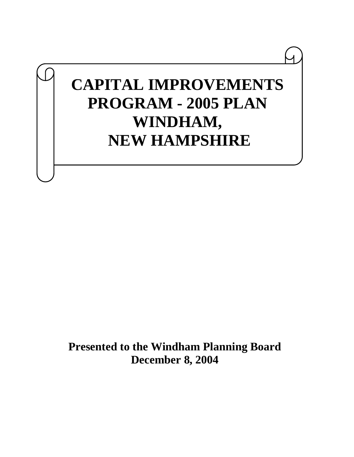# **CAPITAL IMPROVEMENTS PROGRAM - 2005 PLAN WINDHAM, NEW HAMPSHIRE**

**Presented to the Windham Planning Board December 8, 2004**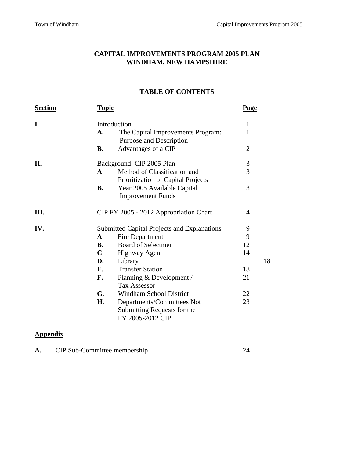## **CAPITAL IMPROVEMENTS PROGRAM 2005 PLAN WINDHAM, NEW HAMPSHIRE**

## **TABLE OF CONTENTS**

| <b>Section</b> | <b>Topic</b>   |                                                                    | <b>Page</b>    |    |
|----------------|----------------|--------------------------------------------------------------------|----------------|----|
| I.             |                | Introduction                                                       | 1              |    |
|                | A.             | The Capital Improvements Program:<br>Purpose and Description       | 1              |    |
|                | <b>B.</b>      | Advantages of a CIP                                                | $\overline{2}$ |    |
| II.            |                | Background: CIP 2005 Plan                                          | 3              |    |
|                | $\mathbf{A}$ . | Method of Classification and<br>Prioritization of Capital Projects | 3              |    |
|                | <b>B.</b>      | Year 2005 Available Capital<br><b>Improvement Funds</b>            | 3              |    |
| III.           |                | CIP FY 2005 - 2012 Appropriation Chart                             | 4              |    |
| IV.            |                | <b>Submitted Capital Projects and Explanations</b>                 | 9              |    |
|                | <b>A.</b>      | Fire Department                                                    | 9              |    |
|                | B.             | <b>Board of Selectmen</b>                                          | 12             |    |
|                | $\mathbf{C}$ . | <b>Highway Agent</b>                                               | 14             |    |
|                | D.             | Library                                                            |                | 18 |
|                | E.             | <b>Transfer Station</b>                                            | 18             |    |
|                | F.             | Planning & Development /                                           | 21             |    |
|                |                | <b>Tax Assessor</b>                                                |                |    |
|                | G.             | <b>Windham School District</b>                                     | 22             |    |
|                | H <sub>1</sub> | Departments/Committees Not                                         | 23             |    |
|                |                | Submitting Requests for the                                        |                |    |
|                |                | FY 2005-2012 CIP                                                   |                |    |

## **Appendix**

|  | CIP Sub-Committee membership |  |
|--|------------------------------|--|
|--|------------------------------|--|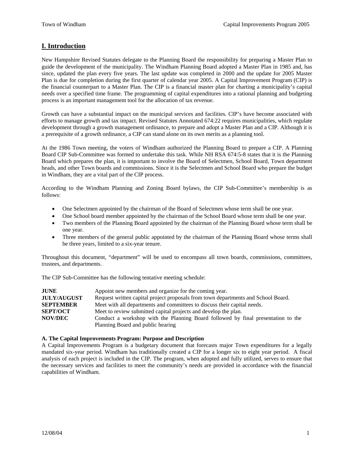## **I. Introduction**

New Hampshire Revised Statutes delegate to the Planning Board the responsibility for preparing a Master Plan to guide the development of the municipality. The Windham Planning Board adopted a Master Plan in 1985 and, has since, updated the plan every five years. The last update was completed in 2000 and the update for 2005 Master Plan is due for completion during the first quarter of calendar year 2005. A Capital Improvement Program (CIP) is the financial counterpart to a Master Plan. The CIP is a financial master plan for charting a municipality's capital needs over a specified time frame. The programming of capital expenditures into a rational planning and budgeting process is an important management tool for the allocation of tax revenue.

Growth can have a substantial impact on the municipal services and facilities. CIP's have become associated with efforts to manage growth and tax impact. Revised Statutes Annotated 674:22 requires municipalities, which regulate development through a growth management ordinance, to prepare and adopt a Master Plan and a CIP. Although it is a prerequisite of a growth ordinance, a CIP can stand alone on its own merits as a planning tool.

At the 1986 Town meeting, the voters of Windham authorized the Planning Board to prepare a CIP. A Planning Board CIP Sub-Committee was formed to undertake this task. While NH RSA 674:5-8 states that it is the Planning Board which prepares the plan, it is important to involve the Board of Selectmen, School Board, Town department heads, and other Town boards and commissions. Since it is the Selectmen and School Board who prepare the budget in Windham, they are a vital part of the CIP process.

According to the Windham Planning and Zoning Board bylaws, the CIP Sub-Committee's membership is as follows:

- One Selectmen appointed by the chairman of the Board of Selectmen whose term shall be one year.
- One School board member appointed by the chairman of the School Board whose term shall be one year.
- Two members of the Planning Board appointed by the chairman of the Planning Board whose term shall be one year.
- Three members of the general public appointed by the chairman of the Planning Board whose terms shall be three years, limited to a six-year tenure.

Throughout this document, "department" will be used to encompass all town boards, commissions, committees, trustees, and departments.

The CIP Sub-Committee has the following tentative meeting schedule:

| <b>JUNE</b>        | Appoint new members and organize for the coming year.                             |
|--------------------|-----------------------------------------------------------------------------------|
| <b>JULY/AUGUST</b> | Request written capital project proposals from town departments and School Board. |
| <b>SEPTEMBER</b>   | Meet with all departments and committees to discuss their capital needs.          |
| <b>SEPT/OCT</b>    | Meet to review submitted capital projects and develop the plan.                   |
| <b>NOV/DEC</b>     | Conduct a workshop with the Planning Board followed by final presentation to the  |
|                    | Planning Board and public hearing                                                 |

#### **A. The Capital Improvements Program: Purpose and Description**

A Capital Improvements Program is a budgetary document that forecasts major Town expenditures for a legally mandated six-year period. Windham has traditionally created a CIP for a longer six to eight year period. A fiscal analysis of each project is included in the CIP. The program, when adopted and fully utilized, serves to ensure that the necessary services and facilities to meet the community's needs are provided in accordance with the financial capabilities of Windham.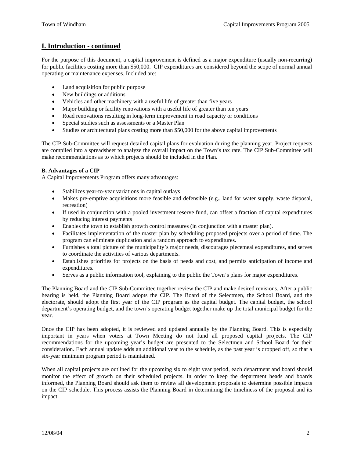## **I. Introduction - continued**

For the purpose of this document, a capital improvement is defined as a major expenditure (usually non-recurring) for public facilities costing more than \$50,000. CIP expenditures are considered beyond the scope of normal annual operating or maintenance expenses. Included are:

- Land acquisition for public purpose
- New buildings or additions
- Vehicles and other machinery with a useful life of greater than five years
- Major building or facility renovations with a useful life of greater than ten years
- Road renovations resulting in long-term improvement in road capacity or conditions
- Special studies such as assessments or a Master Plan
- Studies or architectural plans costing more than \$50,000 for the above capital improvements

The CIP Sub-Committee will request detailed capital plans for evaluation during the planning year. Project requests are compiled into a spreadsheet to analyze the overall impact on the Town's tax rate. The CIP Sub-Committee will make recommendations as to which projects should be included in the Plan.

## **B. Advantages of a CIP**

A Capital Improvements Program offers many advantages:

- Stabilizes year-to-year variations in capital outlays
- Makes pre-emptive acquisitions more feasible and defensible (e.g., land for water supply, waste disposal, recreation)
- If used in conjunction with a pooled investment reserve fund, can offset a fraction of capital expenditures by reducing interest payments
- Enables the town to establish growth control measures (in conjunction with a master plan).
- Facilitates implementation of the master plan by scheduling proposed projects over a period of time. The program can eliminate duplication and a random approach to expenditures.
- Furnishes a total picture of the municipality's major needs, discourages piecemeal expenditures, and serves to coordinate the activities of various departments.
- Establishes priorities for projects on the basis of needs and cost, and permits anticipation of income and expenditures.
- Serves as a public information tool, explaining to the public the Town's plans for major expenditures.

The Planning Board and the CIP Sub-Committee together review the CIP and make desired revisions. After a public hearing is held, the Planning Board adopts the CIP. The Board of the Selectmen, the School Board, and the electorate, should adopt the first year of the CIP program as the capital budget. The capital budget, the school department's operating budget, and the town's operating budget together make up the total municipal budget for the year.

Once the CIP has been adopted, it is reviewed and updated annually by the Planning Board. This is especially important in years when voters at Town Meeting do not fund all proposed capital projects. The CIP recommendations for the upcoming year's budget are presented to the Selectmen and School Board for their consideration. Each annual update adds an additional year to the schedule, as the past year is dropped off, so that a six-year minimum program period is maintained.

When all capital projects are outlined for the upcoming six to eight year period, each department and board should monitor the effect of growth on their scheduled projects. In order to keep the department heads and boards informed, the Planning Board should ask them to review all development proposals to determine possible impacts on the CIP schedule. This process assists the Planning Board in determining the timeliness of the proposal and its impact.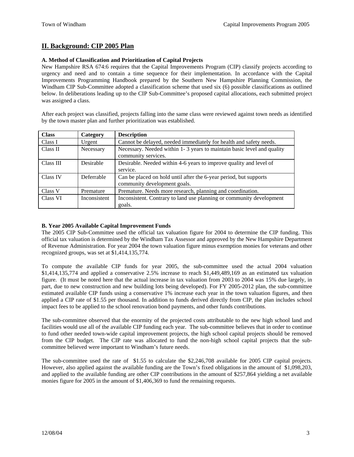## **II. Background: CIP 2005 Plan**

## **A. Method of Classification and Prioritization of Capital Projects**

New Hampshire RSA 674:6 requires that the Capital Improvements Program (CIP) classify projects according to urgency and need and to contain a time sequence for their implementation. In accordance with the Capital Improvements Programming Handbook prepared by the Southern New Hampshire Planning Commission, the Windham CIP Sub-Committee adopted a classification scheme that used six (6) possible classifications as outlined below. In deliberations leading up to the CIP Sub-Committee's proposed capital allocations, each submitted project was assigned a class.

After each project was classified, projects falling into the same class were reviewed against town needs as identified by the town master plan and further prioritization was established.

| <b>Class</b> | Category     | <b>Description</b>                                                                            |
|--------------|--------------|-----------------------------------------------------------------------------------------------|
| Class I      | Urgent       | Cannot be delayed, needed immediately for health and safety needs.                            |
| Class II     | Necessary    | Necessary. Needed within 1-3 years to maintain basic level and quality<br>community services. |
| Class III    | Desirable    | Desirable. Needed within 4-6 years to improve quality and level of                            |
|              |              | service.                                                                                      |
| Class IV     | Deferrable   | Can be placed on hold until after the 6-year period, but supports                             |
|              |              | community development goals.                                                                  |
| Class V      | Premature    | Premature. Needs more research, planning and coordination.                                    |
| Class VI     | Inconsistent | Inconsistent. Contrary to land use planning or community development                          |
|              |              | goals.                                                                                        |

## **B. Year 2005 Available Capital Improvement Funds**

The 2005 CIP Sub-Committee used the official tax valuation figure for 2004 to determine the CIP funding. This official tax valuation is determined by the Windham Tax Assessor and approved by the New Hampshire Department of Revenue Administration. For year 2004 the town valuation figure minus exemption monies for veterans and other recognized groups, was set at \$1,414,135,774.

To compute the available CIP funds for year 2005, the sub-committee used the actual 2004 valuation \$1,414,135,774 and applied a conservative 2.5% increase to reach \$1,449,489,169 as an estimated tax valuation figure. (It must be noted here that the actual increase in tax valuation from 2003 to 2004 was 15% due largely, in part, due to new construction and new building lots being developed). For FY 2005-2012 plan, the sub-committee estimated available CIP funds using a conservative 1% increase each year in the town valuation figures, and then applied a CIP rate of \$1.55 per thousand. In addition to funds derived directly from CIP, the plan includes school impact fees to be applied to the school renovation bond payments, and other funds contributions.

The sub-committee observed that the enormity of the projected costs attributable to the new high school land and facilities would use all of the available CIP funding each year. The sub-committee believes that in order to continue to fund other needed town-wide capital improvement projects, the high school capital projects should be removed from the CIP budget. The CIP rate was allocated to fund the non-high school capital projects that the subcommittee believed were important to Windham's future needs.

The sub-committee used the rate of \$1.55 to calculate the \$2,246,708 available for 2005 CIP capital projects. However, also applied against the available funding are the Town's fixed obligations in the amount of \$1,098,203, and applied to the available funding are other CIP contributions in the amount of \$257,864 yielding a net available monies figure for 2005 in the amount of \$1,406,369 to fund the remaining requests.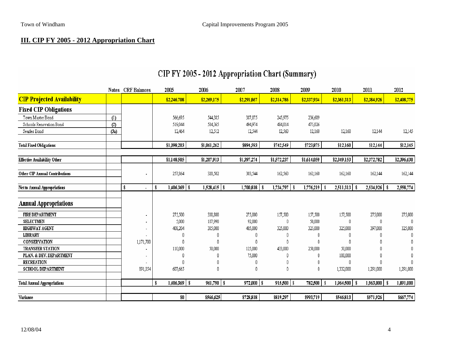## **III. CIP FY 2005 - 2012 Appropriation Chart**

|                                     |      | Notes CRF Balances   | 2005            | 2006                 | 2007           | 2008             | 2009             | 2010                     | 2011             | 2012        |
|-------------------------------------|------|----------------------|-----------------|----------------------|----------------|------------------|------------------|--------------------------|------------------|-------------|
| <b>CIP Projected Availability</b>   |      |                      | \$2,246,708     | \$2,269,175          | \$2,291,867    | \$2,314,786      | \$2,337,934      | \$2,361,313              | \$2,384,926      | \$2,408,775 |
| <b>Fixed CIP Obligations</b>        |      |                      |                 |                      |                |                  |                  |                          |                  |             |
| Town Master Bond                    | (1)  |                      | 566,695         | 544,385              | 387,075        | 245,975          | 236,689          |                          |                  |             |
| Schools Renovation Bond             | (2)  |                      | 519,044         | 504,365              | 494,974        | 484,014          | 475,026          |                          |                  |             |
| Searles Bond                        | (3a) |                      | 12,464          | 12,512               | 12,544         | 12,560           | 12,160           | 12,160                   | 12,144           | 12,145      |
| <b>Total Fixed Obligations</b>      |      |                      | \$1,098,203     | \$1,061,262          | \$894,593      | \$742,549        | \$723,875        | \$12,160                 | \$12,144         | \$12,145    |
| <b>Effective Availability Other</b> |      |                      | \$1,148,505     | \$1,207,913          | \$1,397,274    | \$1,572,237      | \$1,614,059      | \$2,349,153              | \$2,372,782      | \$2,396,630 |
| Other CIP Annual Contributions      |      |                      | 257,864         | 320,502              | 303,544        | 162,560          | 162,160          | 162,160                  | 162,144          | 162,144     |
| Net to Annual Appropriations        |      | \$<br>$\blacksquare$ | 1,406,369   \$  | $1,528,415$ \\$      | 1,700,818      | $1,734,797$   \$ | $1,776,219$   \$ | $2,511,313$   \$         | 2,534,926   \$   | 2,558,774   |
| <b>Annual Appropriations</b>        |      |                      |                 |                      |                |                  |                  |                          |                  |             |
| <b>FIRE DEPARTMENT</b>              |      | $\blacksquare$       | 275,500         | 338,800              | 275,000        | 157,500          | 157,500          | 157,500                  | 275,000          | 275,000     |
| <b>SELECTMEN</b>                    |      |                      | 5,000           | 187,990              | 92,000         | 0                | 50,000           | 0                        | 0                | 0           |
| <b>HIGHWAY AGENT</b>                |      |                      | 408,204         | 385,000              | 405,000        | 325,000          | 325,000          | 325,000                  | 397,000          | 325,000     |
| <b>LIBRARY</b>                      |      |                      |                 |                      |                | 0                | 0                |                          | ſ                |             |
| CONSERVATION                        |      | 1,171,700            | 0               | 0                    | 0              | 0                | 0                | n                        |                  |             |
| <b>TRANSFER STATION</b>             |      |                      | 110,000         | 50,000               | 125,000        | 433,000          | 250,000          | 50,000                   |                  |             |
| PLAN. & DEV. DEPARTMENT             |      |                      |                 |                      | 75,000         | f                |                  | 100,000                  |                  |             |
| <b>RECREATION</b>                   |      |                      | f)              |                      | 0              | 0                |                  | 0                        | ſ                |             |
| SCHOOL DEPARTMENT                   |      | 891,054              | 607,665         |                      | 0              | 0                | 0                | 1,332,000                | 1,291,000        | 1,291,000   |
| <b>Total Annual Appropriations</b>  |      |                      | 1,406,369<br>\$ | $961,790$ \$<br>l \$ | $972,000$   \$ | $915,500$   \$   | 782,500          | $1,964,500$   \$<br>- \$ | $1,963,000$   \$ | 1,891,000   |
| Variance                            |      |                      | \$0             | \$566,625            | \$728,818      | \$819,297        | \$993,719        | \$546,813                | \$571,926        | \$667,774   |

## CIP FY 2005 - 2012 Appropriation Chart (Summary)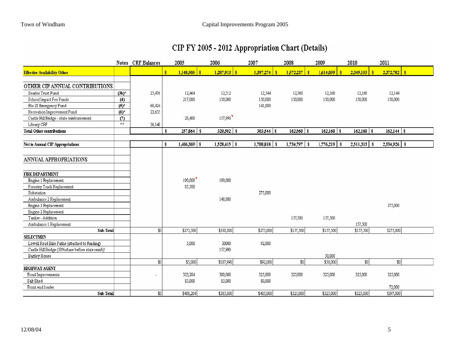## CIP FY 2005 - 2012 Appropriation Chart (Details)

|                                                   |                    | Notes CRF Balances | 2005                  |     | 2006            | 2007             | 2008            | 2009             | 2010                             | 2011             |
|---------------------------------------------------|--------------------|--------------------|-----------------------|-----|-----------------|------------------|-----------------|------------------|----------------------------------|------------------|
| <b>Effective Availability Other</b>               |                    |                    | \$                    |     |                 | 1,397,274<br>A   | 1,572,237<br>¢  |                  | 2,349,153<br>$\ddot{\textbf{s}}$ | $2,372,782$   \$ |
| OTHER CIP ANNUAL CONTRIBUTIONS                    |                    |                    |                       |     |                 |                  |                 |                  |                                  |                  |
| Searles Trust Fund                                | $(3b)^*$           | 25,476             | 12,464                |     | 12,512          | 12,544           | 12,560          | 12,160           | 12,160                           | 12,144           |
| School Impact Fee Funds                           | (4)                |                    | 217,000               |     | 150,000         | 150,000          | 150,000         | 150,000          | 150,000                          | 150,000          |
| Rte 28 Emergency Fund                             | $(5)^{+}$          | 60,424             |                       |     |                 | 141,000          |                 |                  |                                  |                  |
| Recreation Improvement Fund                       | $(6)$ <sup>*</sup> | 22,635             |                       |     |                 |                  |                 |                  |                                  |                  |
| Castle Hill Bridge - state reimbursement          | (7)                |                    | 28,400                |     | 157,990         |                  |                 |                  |                                  |                  |
| Library CRF                                       | $***$              | 36,148             |                       |     |                 |                  |                 |                  |                                  |                  |
| <b>Total Other contributions</b>                  |                    |                    | 257,864<br>\$         | -\$ | $320,502$ \$    | $303,544$ \\$    | $162,560$ \$    | $162, 160$ \$    | $162,160$ \$                     | $162, 144$ \ \\$ |
| Net to Annual CIP Appropriations                  |                    |                    | $1,406,369$ \\$<br>\$ |     | $1,528,415$ \\$ | 1,700,818<br>-\$ | 1,734,797<br>-8 | $1,776,219$   \$ | $2,511,313$   \$                 | 2,534,926   \$   |
|                                                   |                    |                    |                       |     |                 |                  |                 |                  |                                  |                  |
| ANNUAL APPROPRIATIONS                             |                    |                    |                       |     |                 |                  |                 |                  |                                  |                  |
| <b>FIRE DEPARTMENT</b>                            |                    |                    |                       |     |                 |                  |                 |                  |                                  |                  |
| Engine 1 Replacement                              |                    |                    | 190,000               |     | 190,000         |                  |                 |                  |                                  |                  |
| Forestry Truck Replacement                        |                    |                    | 85,500                |     |                 |                  |                 |                  |                                  |                  |
| Substation                                        |                    |                    |                       |     |                 | 275,000          |                 |                  |                                  |                  |
| Ambulance 2 Replacement                           |                    |                    |                       |     | 148,800         |                  |                 |                  |                                  |                  |
| Engine 3 Replacement                              |                    |                    |                       |     |                 |                  |                 |                  |                                  | 275,000          |
| Engine 2 Replacement                              |                    |                    |                       |     |                 |                  |                 |                  |                                  |                  |
| Tanker - Addition                                 |                    |                    |                       |     |                 |                  | 157,500         | 157,500          |                                  |                  |
| Ambulance 1 Replacement                           |                    |                    |                       |     |                 |                  |                 |                  | 157,500                          |                  |
| Sub-Total                                         |                    | \$0                | \$275,500             |     | \$338,800       | \$275,000        | \$157,500       | \$157,500        | \$157,500                        | \$275,000        |
| <b>SELECTMEN</b>                                  |                    |                    |                       |     |                 |                  |                 |                  |                                  |                  |
| Lowell Road Bike Paths (attached to funding)      |                    |                    | 5,000                 |     | 30000           | 92,000           |                 |                  |                                  |                  |
| Castle Hill Bridge (50%share before state reimb)' |                    |                    |                       |     | 157,990         |                  |                 |                  |                                  |                  |
| Bartley House                                     |                    |                    |                       |     |                 |                  |                 | 50,000           |                                  |                  |
|                                                   |                    | \$0                | \$5,000               |     | \$187,990       | \$92,000         | \$0]            | \$50,000         | \$0                              | \$0]             |
| <b>HIGHWAY AGENT</b>                              |                    |                    |                       |     |                 |                  |                 |                  |                                  |                  |
| Road Improvements                                 |                    |                    | 323,204               |     | 300,000         | 325,000          | 325,000         | 325,000          | 325,000                          | 325,000          |
| Salt Shed                                         |                    |                    | 85,000                |     | 85,000          | 80,000           |                 |                  |                                  |                  |
| Front end loader                                  |                    |                    |                       |     |                 |                  |                 |                  |                                  | 72,000           |
| Sub-Total                                         |                    | \$0                | \$408,204             |     | \$385,000       | \$405,000        | \$325,000       | \$325,000        | \$325,000                        | \$397,000        |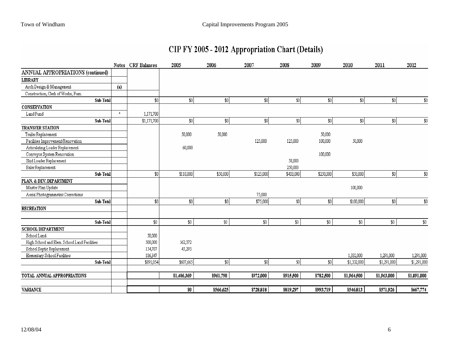## CIP FY 2005 - 2012 Appropriation Chart (Details)

|                                              |         | Notes CRF Balances | 2005         | 2006      | 2007         | 2008      | 2009      | 2010        | 2011        | 2012        |
|----------------------------------------------|---------|--------------------|--------------|-----------|--------------|-----------|-----------|-------------|-------------|-------------|
| ANNUAL APPROPRIATIONS (continued)            |         |                    |              |           |              |           |           |             |             |             |
| <b>LIBRARY</b>                               |         |                    |              |           |              |           |           |             |             |             |
| Arch Design & Management                     | (a)     |                    |              |           |              |           |           |             |             |             |
| Construction, Clerk of Works, Furn.          |         |                    |              |           |              |           |           |             |             |             |
| Sub-Total                                    |         | \$0                | $ 10\rangle$ | 30        | $ 10\rangle$ | 30        | \$0]      | 30          | 30          | $\$0$       |
| <b>CONSERVATION</b>                          |         |                    |              |           |              |           |           |             |             |             |
| Land Fund                                    | $\star$ | 1,171,700          |              |           |              |           |           |             |             |             |
| Sub-Total                                    |         | \$1,171,700        | $\$0$        | \$0]      | 30           | \$0]      | \$0       | 30          | \$0]        | \$0         |
| <b>TRANSFER STATION</b>                      |         |                    |              |           |              |           |           |             |             |             |
| Trailer Replacement                          |         |                    | 50,000       | 50,000    |              |           | 50,000    |             |             |             |
| Facilities Improvement/Renovation            |         |                    |              |           | 125,000      | 125,000   | 100,000   | 50,000      |             |             |
| Articulating Loader Replacement              |         |                    | 60,000       |           |              |           |           |             |             |             |
| Conveyor System Renovation                   |         |                    |              |           |              |           | 100,000   |             |             |             |
| Skid Loader Replacement                      |         |                    |              |           |              | 58,000    |           |             |             |             |
| Baler Replacement                            |         |                    |              |           |              | 250,000   |           |             |             |             |
| Sub-Total                                    |         | \$0                | \$110,000    | \$50,000  | \$125,000    | \$433,000 | \$250,000 | \$50,000    | \$0         | $$0$$       |
| PLAN. & DEV. DEPARTMENT                      |         |                    |              |           |              |           |           |             |             |             |
| Master Plan Update                           |         |                    |              |           |              |           |           | 100,000     |             |             |
| Aerial Photogrammetric Corrections           |         |                    |              |           | 75,000       |           |           |             |             |             |
| Sub-Total                                    |         | \$0                | \$0]         | \$0       | \$75,000     | \$0]      | \$0       | \$100,000   | \$0]        | $$0$        |
| <b>RECREATION</b>                            |         |                    |              |           |              |           |           |             |             |             |
| Sub-Total                                    |         | \$0                | \$0          | $\$0$     | $$0$$        | \$0       | \$0       | $\$0$       | \$0         | $$0$$       |
| <b>SCHOOL DEPARTMENT</b>                     |         |                    |              |           |              |           |           |             |             |             |
| School Land                                  |         | 50,000             |              |           |              |           |           |             |             |             |
| High School and Elem. School Land Facilities |         | 500,000            | 562,372      |           |              |           |           |             |             |             |
| School Septic Replacement                    |         | 154,707            | 45,293       |           |              |           |           |             |             |             |
| Elementary School Facilities                 |         | 186,347            |              |           |              |           |           | 1,332,000   | 1,291,000   | 1,291,000   |
| Sub-Total                                    |         | \$891,054          | \$607,665    | -\$0      | $\sqrt{30}$  | \$0       | \$0       | \$1,332,000 | \$1,291,000 | \$1,291,000 |
| TOTAL ANNUAL APPROPRIATIONS                  |         |                    | \$1,406,369  | \$961,790 | \$972,000    | \$915,500 | \$782,500 | \$1,964,500 | \$1,963,000 | \$1,891,000 |
|                                              |         |                    |              |           |              |           |           |             |             |             |
| <b>VARIANCE</b>                              |         |                    | \$0          | \$566,625 | \$728,818    | \$819,297 | \$993,719 | \$546,813   | \$571,926   | \$667,774   |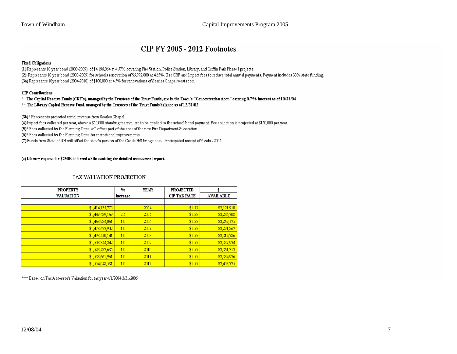## **CIP FY 2005 - 2012 Footnotes**

#### **Fixed Obligations**

(1) Represents 10 year bond (2000-2009), of \$4,196,064 at 4.57% covering Fire Station, Police Station, Library, and Griffin Park Phase I projects. (2) Represents 10 year bond (2000-2009) for schools renovation of \$5,992,000 at 4.65%. Use CRF and Impact fees to reduce total annual payments. Payment includes 30% state funding. (3a) Represents 10year bond (2004-2010) of \$100,000 at 4.5% for renovations of Searles Chapel west room.

#### **CIP** Contributions

#### \* The Capital Reserve Funds (CRF's), managed by the Trustees of the Trust Funds, are in the Town's "Concentration Acct." earning 0.7% interest as of 10/31/04

\*\* The Library Capital Reserve Fund, managed by the Trustees of the Trust Funds balance as of 12/31/03

(3b)\* Represents projected rental revenue from Searles Chapel.

(4) Impact fees collected per year, above a \$50,000 standing reserve, are to be applied to the school bond payment. Fee collection is projected at \$150,000 per year.

(5)\* Fees collected by the Planning Dept. will offset part of the cost of the new Fire Department Substation

(6)\* Fees collected by the Planning Dept. for recreational improvements

(7) Funds from State of NH will offset the state's portion of the Castle Hill bridge cost. Anticipated receipt of funds - 2005

#### (a) Library request for \$250K deferred while awaiting the detailed assessment report.

## TAX VALUATION PROJECTION

| <b>PROPERTY</b>  | $\frac{0}{0}$ | <b>YEAR</b> | <b>PROJECTED</b>    | \$               |
|------------------|---------------|-------------|---------------------|------------------|
| <b>VALUATION</b> | Increase      |             | <b>CIP TAX RATE</b> | <b>AVAILABLE</b> |
|                  |               |             |                     |                  |
| \$1,414,135,775  |               | 2004        | \$1.55              | \$2,191,910      |
| \$1,449,489,169  | 25            | 2005        | \$1.55              | \$2,246,708      |
| \$1,463,984,061  | 1.0           | 2006        | \$1.55              | \$2,269,175      |
| \$1,478,623,902  | 1.0           | 2007        | \$1.55              | \$2,291,867      |
| \$1,493,410,141  | 1.0           | 2008        | \$1.55              | \$2,314,786      |
| \$1,508,344,242  | 1.0           | 2009        | \$1.55              | \$2,337,934      |
| \$1,523,427,685  | 1.0           | 2010        | \$1.55              | \$2,361,313      |
| \$1,538,661,961  | 1.0           | 2011        | \$1.55              | \$2,384,926      |
| \$1,554,048,581  | 1.0           | 2012        | \$1.55              | \$2,408,775      |

\*\*\* Based on Tax Assessor's Valuation for tax year 4/1/2004-3/31/2005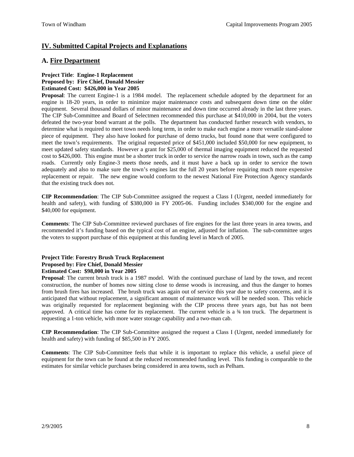## **IV. Submitted Capital Projects and Explanations**

## **A. Fire Department**

#### **Project Title**: **Engine-1 Replacement Proposed by: Fire Chief, Donald Messier Estimated Cost: \$426,000 in Year 2005**

**Proposal**: The current Engine-1 is a 1984 model. The replacement schedule adopted by the department for an engine is 18-20 years, in order to minimize major maintenance costs and subsequent down time on the older equipment. Several thousand dollars of minor maintenance and down time occurred already in the last three years. The CIP Sub-Committee and Board of Selectmen recommended this purchase at \$410,000 in 2004, but the voters defeated the two-year bond warrant at the polls. The department has conducted further research with vendors, to determine what is required to meet town needs long term, in order to make each engine a more versatile stand-alone piece of equipment. They also have looked for purchase of demo trucks, but found none that were configured to meet the town's requirements. The original requested price of \$451,000 included \$50,000 for new equipment, to meet updated safety standards. However a grant for \$25,000 of thermal imaging equipment reduced the requested cost to \$426,000. This engine must be a shorter truck in order to service the narrow roads in town, such as the camp roads. Currently only Engine-3 meets those needs, and it must have a back up in order to service the town adequately and also to make sure the town's engines last the full 20 years before requiring much more expensive replacement or repair. The new engine would conform to the newest National Fire Protection Agency standards that the existing truck does not.

**CIP Recommendation**: The CIP Sub-Committee assigned the request a Class I (Urgent, needed immediately for health and safety), with funding of \$380,000 in FY 2005-06. Funding includes \$340,000 for the engine and \$40,000 for equipment.

**Comments**: The CIP Sub-Committee reviewed purchases of fire engines for the last three years in area towns, and recommended it's funding based on the typical cost of an engine, adjusted for inflation. The sub-committee urges the voters to support purchase of this equipment at this funding level in March of 2005.

#### **Project Title**: **Forestry Brush Truck Replacement Proposed by: Fire Chief, Donald Messier Estimated Cost: \$98,000 in Year 2005**

**Proposal**: The current brush truck is a 1987 model. With the continued purchase of land by the town, and recent construction, the number of homes now sitting close to dense woods is increasing, and thus the danger to homes from brush fires has increased. The brush truck was again out of service this year due to safety concerns, and it is anticipated that without replacement, a significant amount of maintenance work will be needed soon. This vehicle was originally requested for replacement beginning with the CIP process three years ago, but has not been approved. A critical time has come for its replacement. The current vehicle is a ¾ ton truck. The department is requesting a 1-ton vehicle, with more water storage capability and a two-man cab.

**CIP Recommendation**: The CIP Sub-Committee assigned the request a Class I (Urgent, needed immediately for health and safety) with funding of \$85,500 in FY 2005.

**Comments**: The CIP Sub-Committee feels that while it is important to replace this vehicle, a useful piece of equipment for the town can be found at the reduced recommended funding level. This funding is comparable to the estimates for similar vehicle purchases being considered in area towns, such as Pelham.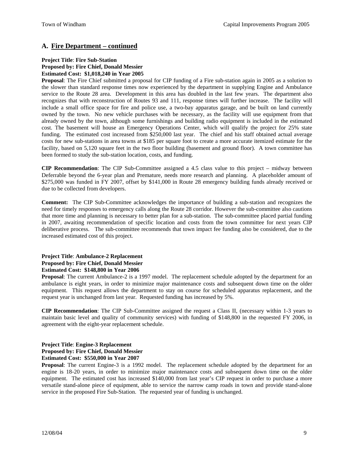## **A. Fire Department – continued**

#### **Project Title**: **Fire Sub-Station Proposed by: Fire Chief, Donald Messier Estimated Cost: \$1,018,240 in Year 2005**

**Proposal**: The Fire Chief submitted a proposal for CIP funding of a Fire sub-station again in 2005 as a solution to the slower than standard response times now experienced by the department in supplying Engine and Ambulance service to the Route 28 area. Development in this area has doubled in the last few years. The department also recognizes that with reconstruction of Routes 93 and 111, response times will further increase. The facility will include a small office space for fire and police use, a two-bay apparatus garage, and be built on land currently owned by the town. No new vehicle purchases with be necessary, as the facility will use equipment from that already owned by the town, although some furnishings and building radio equipment is included in the estimated cost. The basement will house an Emergency Operations Center, which will qualify the project for 25% state funding. The estimated cost increased from \$250,000 last year. The chief and his staff obtained actual average costs for new sub-stations in area towns at \$185 per square foot to create a more accurate itemized estimate for the facility, based on 5,120 square feet in the two floor building (basement and ground floor). A town committee has been formed to study the sub-station location, costs, and funding.

**CIP Recommendation**: The CIP Sub-Committee assigned a 4.5 class value to this project – midway between Deferrable beyond the 6-year plan and Premature, needs more research and planning. A placeholder amount of \$275,000 was funded in FY 2007, offset by \$141,000 in Route 28 emergency building funds already received or due to be collected from developers.

**Comment:** The CIP Sub-Committee acknowledges the importance of building a sub-station and recognizes the need for timely responses to emergency calls along the Route 28 corridor. However the sub-committee also cautions that more time and planning is necessary to better plan for a sub-station. The sub-committee placed partial funding in 2007, awaiting recommendation of specific location and costs from the town committee for next years CIP deliberative process. The sub-committee recommends that town impact fee funding also be considered, due to the increased estimated cost of this project.

## **Project Title**: **Ambulance-2 Replacement Proposed by: Fire Chief, Donald Messier Estimated Cost: \$148,800 in Year 2006**

**Proposal**: The current Ambulance-2 is a 1997 model. The replacement schedule adopted by the department for an ambulance is eight years, in order to minimize major maintenance costs and subsequent down time on the older equipment. This request allows the department to stay on course for scheduled apparatus replacement, and the request year is unchanged from last year. Requested funding has increased by 5%.

**CIP Recommendation**: The CIP Sub-Committee assigned the request a Class II, (necessary within 1-3 years to maintain basic level and quality of community services) with funding of \$148,800 in the requested FY 2006, in agreement with the eight-year replacement schedule.

## **Project Title**: **Engine-3 Replacement Proposed by: Fire Chief, Donald Messier Estimated Cost: \$550,000 in Year 2007**

**Proposal**: The current Engine-3 is a 1992 model. The replacement schedule adopted by the department for an engine is 18-20 years, in order to minimize major maintenance costs and subsequent down time on the older equipment. The estimated cost has increased \$140,000 from last year's CIP request in order to purchase a more versatile stand-alone piece of equipment, able to service the narrow camp roads in town and provide stand-alone service in the proposed Fire Sub-Station. The requested year of funding is unchanged.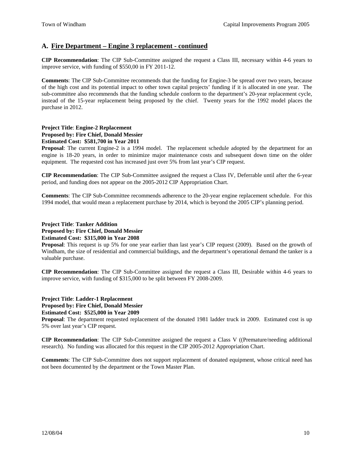## **A. Fire Department – Engine 3 replacement - continued**

**CIP Recommendation**: The CIP Sub-Committee assigned the request a Class III, necessary within 4-6 years to improve service, with funding of \$550,00 in FY 2011-12.

**Comments**: The CIP Sub-Committee recommends that the funding for Engine-3 be spread over two years, because of the high cost and its potential impact to other town capital projects' funding if it is allocated in one year. The sub-committee also recommends that the funding schedule conform to the department's 20-year replacement cycle, instead of the 15-year replacement being proposed by the chief. Twenty years for the 1992 model places the purchase in 2012.

## **Project Title**: **Engine-2 Replacement Proposed by: Fire Chief, Donald Messier Estimated Cost: \$581,700 in Year 2011**

**Proposal**: The current Engine-2 is a 1994 model. The replacement schedule adopted by the department for an engine is 18-20 years, in order to minimize major maintenance costs and subsequent down time on the older equipment. The requested cost has increased just over 5% from last year's CIP request.

**CIP Recommendation**: The CIP Sub-Committee assigned the request a Class IV, Deferrable until after the 6-year period, and funding does not appear on the 2005-2012 CIP Appropriation Chart.

**Comments**: The CIP Sub-Committee recommends adherence to the 20-year engine replacement schedule. For this 1994 model, that would mean a replacement purchase by 2014, which is beyond the 2005 CIP's planning period.

#### **Project Title**: **Tanker Addition Proposed by: Fire Chief, Donald Messier Estimated Cost: \$315,000 in Year 2008**

**Proposal**: This request is up 5% for one year earlier than last year's CIP request (2009). Based on the growth of Windham, the size of residential and commercial buildings, and the department's operational demand the tanker is a valuable purchase.

**CIP Recommendation**: The CIP Sub-Committee assigned the request a Class III, Desirable within 4-6 years to improve service, with funding of \$315,000 to be split between FY 2008-2009.

## **Project Title**: **Ladder-1 Replacement Proposed by: Fire Chief, Donald Messier Estimated Cost: \$525,000 in Year 2009**

**Proposal**: The department requested replacement of the donated 1981 ladder truck in 2009. Estimated cost is up 5% over last year's CIP request.

**CIP Recommendation**: The CIP Sub-Committee assigned the request a Class V ((Premature/needing additional research). No funding was allocated for this request in the CIP 2005-2012 Appropriation Chart.

**Comments**: The CIP Sub-Committee does not support replacement of donated equipment, whose critical need has not been documented by the department or the Town Master Plan.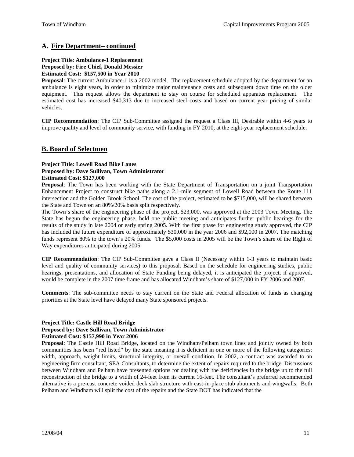## **A. Fire Department– continued**

#### **Project Title**: **Ambulance-1 Replacement Proposed by: Fire Chief, Donald Messier Estimated Cost: \$157,500 in Year 2010**

**Proposal**: The current Ambulance-1 is a 2002 model. The replacement schedule adopted by the department for an ambulance is eight years, in order to minimize major maintenance costs and subsequent down time on the older equipment. This request allows the department to stay on course for scheduled apparatus replacement. The estimated cost has increased \$40,313 due to increased steel costs and based on current year pricing of similar vehicles.

**CIP Recommendation**: The CIP Sub-Committee assigned the request a Class III, Desirable within 4-6 years to improve quality and level of community service, with funding in FY 2010, at the eight-year replacement schedule.

## **B. Board of Selectmen**

#### **Project Title: Lowell Road Bike Lanes Proposed by: Dave Sullivan, Town Administrator Estimated Cost: \$127,000**

**Proposal**: The Town has been working with the State Department of Transportation on a joint Transportation Enhancement Project to construct bike paths along a 2.1-mile segment of Lowell Road between the Route 111 intersection and the Golden Brook School. The cost of the project, estimated to be \$715,000, will be shared between the State and Town on an 80%/20% basis split respectively.

The Town's share of the engineering phase of the project, \$23,000, was approved at the 2003 Town Meeting. The State has begun the engineering phase, held one public meeting and anticipates further public hearings for the results of the study in late 2004 or early spring 2005. With the first phase for engineering study approved, the CIP has included the future expenditure of approximately \$30,000 in the year 2006 and \$92,000 in 2007. The matching funds represent 80% to the town's 20% funds. The \$5,000 costs in 2005 will be the Town's share of the Right of Way expenditures anticipated during 2005.

**CIP Recommendation**: The CIP Sub-Committee gave a Class II (Necessary within 1-3 years to maintain basic level and quality of community services) to this proposal. Based on the schedule for engineering studies, public hearings, presentations, and allocation of State Funding being delayed, it is anticipated the project, if approved, would be complete in the 2007 time frame and has allocated Windham's share of \$127,000 in FY 2006 and 2007.

**Comments**: The sub-committee needs to stay current on the State and Federal allocation of funds as changing priorities at the State level have delayed many State sponsored projects.

#### **Project Title: Castle Hill Road Bridge**

#### **Proposed by: Dave Sullivan, Town Administrator**

#### **Estimated Cost: \$157,990 in Year 2006**

**Proposal**: The Castle Hill Road Bridge, located on the Windham/Pelham town lines and jointly owned by both communities has been "red listed" by the state meaning it is deficient in one or more of the following categories: width, approach, weight limits, structural integrity, or overall condition. In 2002, a contract was awarded to an engineering firm consultant, SEA Consultants, to determine the extent of repairs required to the bridge. Discussions between Windham and Pelham have presented options for dealing with the deficiencies in the bridge up to the full reconstruction of the bridge to a width of 24-feet from its current 16-feet. The consultant's preferred recommended alternative is a pre-cast concrete voided deck slab structure with cast-in-place stub abutments and wingwalls. Both Pelham and Windham will split the cost of the repairs and the State DOT has indicated that the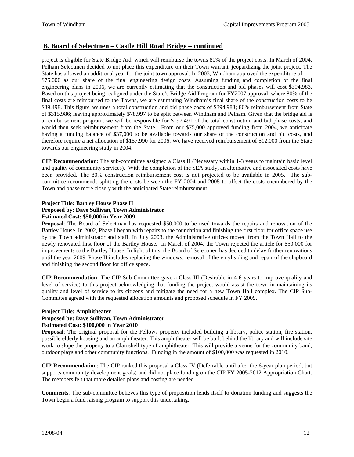## **B. Board of Selectmen – Castle Hill Road Bridge – continued**

project is eligible for State Bridge Aid, which will reimburse the towns 80% of the project costs. In March of 2004, Pelham Selectmen decided to not place this expenditure on their Town warrant, jeopardizing the joint project. The State has allowed an additional year for the joint town approval. In 2003, Windham approved the expenditure of \$75,000 as our share of the final engineering design costs. Assuming funding and completion of the final engineering plans in 2006, we are currently estimating that the construction and bid phases will cost \$394,983. Based on this project being realigned under the State's Bridge Aid Program for FY2007 approval, where 80% of the final costs are reimbursed to the Towns, we are estimating Windham's final share of the construction costs to be \$39,498. This figure assumes a total construction and bid phase costs of \$394,983; 80% reimbursement from State of \$315,986; leaving approximately \$78,997 to be split between Windham and Pelham. Given that the bridge aid is a reimbursement program, we will be responsible for \$197,491 of the total construction and bid phase costs, and would then seek reimbursement from the State. From our \$75,000 approved funding from 2004, we anticipate having a funding balance of \$37,000 to be available towards our share of the construction and bid costs, and therefore require a net allocation of \$157,990 for 2006. We have received reimbursement of \$12,000 from the State towards our engineering study in 2004.

**CIP Recommendation**: The sub-committee assigned a Class II (Necessary within 1-3 years to maintain basic level and quality of community services). With the completion of the SEA study, an alternative and associated costs have been provided. The 80% construction reimbursement cost is not projected to be available in 2005. The subcommittee recommends splitting the costs between the FY 2004 and 2005 to offset the costs encumbered by the Town and phase more closely with the anticipated State reimbursement.

### **Project Title: Bartley House Phase II Proposed by: Dave Sullivan, Town Administrator Estimated Cost: \$50,000 in Year 2009**

**Proposal**: The Board of Selectman has requested \$50,000 to be used towards the repairs and renovation of the Bartley House. In 2002, Phase I began with repairs to the foundation and finishing the first floor for office space use by the Town administrator and staff. In July 2003, the Administrative offices moved from the Town Hall to the newly renovated first floor of the Bartley House. In March of 2004, the Town rejected the article for \$50,000 for improvements to the Bartley House. In light of this, the Board of Selectmen has decided to delay further renovations until the year 2009. Phase II includes replacing the windows, removal of the vinyl siding and repair of the clapboard and finishing the second floor for office space.

**CIP Recommendation**: The CIP Sub-Committee gave a Class III (Desirable in 4-6 years to improve quality and level of service) to this project acknowledging that funding the project would assist the town in maintaining its quality and level of service to its citizens and mitigate the need for a new Town Hall complex. The CIP Sub-Committee agreed with the requested allocation amounts and proposed schedule in FY 2009.

#### **Project Title: Amphitheater**

## **Proposed by: Dave Sullivan, Town Administrator**

#### **Estimated Cost: \$100,000 in Year 2010**

**Proposal**: The original proposal for the Fellows property included building a library, police station, fire station, possible elderly housing and an amphitheater. This amphitheater will be built behind the library and will include site work to slope the property to a Clamshell type of amphitheater. This will provide a venue for the community band, outdoor plays and other community functions. Funding in the amount of \$100,000 was requested in 2010.

**CIP Recommendation**: The CIP ranked this proposal a Class IV (Deferrable until after the 6-year plan period, but supports community development goals) and did not place funding on the CIP FY 2005-2012 Appropriation Chart. The members felt that more detailed plans and costing are needed.

**Comments**: The sub-committee believes this type of proposition lends itself to donation funding and suggests the Town begin a fund raising program to support this undertaking.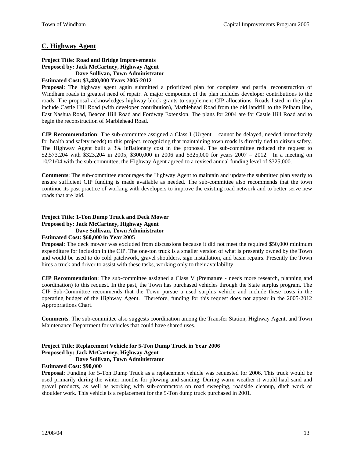## **C. Highway Agent**

## **Project Title: Road and Bridge Improvements Proposed by: Jack McCartney, Highway Agent Dave Sullivan, Town Administrator**

#### **Estimated Cost: \$3,480,000 Years 2005-2012**

**Proposal**: The highway agent again submitted a prioritized plan for complete and partial reconstruction of Windham roads in greatest need of repair. A major component of the plan includes developer contributions to the roads. The proposal acknowledges highway block grants to supplement CIP allocations. Roads listed in the plan include Castle Hill Road (with developer contribution), Marblehead Road from the old landfill to the Pelham line, East Nashua Road, Beacon Hill Road and Fordway Extension. The plans for 2004 are for Castle Hill Road and to begin the reconstruction of Marblehead Road.

**CIP Recommendation**: The sub-committee assigned a Class I (Urgent – cannot be delayed, needed immediately for health and safety needs) to this project, recognizing that maintaining town roads is directly tied to citizen safety. The Highway Agent built a 3% inflationary cost in the proposal. The sub-committee reduced the request to \$2,573,204 with \$323,204 in 2005, \$300,000 in 2006 and \$325,000 for years 2007 – 2012. In a meeting on 10/21/04 with the sub-committee, the Highway Agent agreed to a revised annual funding level of \$325,000.

**Comments**: The sub-committee encourages the Highway Agent to maintain and update the submitted plan yearly to ensure sufficient CIP funding is made available as needed. The sub-committee also recommends that the town continue its past practice of working with developers to improve the existing road network and to better serve new roads that are laid.

## **Project Title: 1-Ton Dump Truck and Deck Mower Proposed by: Jack McCartney, Highway Agent Dave Sullivan, Town Administrator**

#### **Estimated Cost: \$60,000 in Year 2005**

**Proposal**: The deck mower was excluded from discussions because it did not meet the required \$50,000 minimum expenditure for inclusion in the CIP. The one-ton truck is a smaller version of what is presently owned by the Town and would be used to do cold patchwork, gravel shoulders, sign installation, and basin repairs. Presently the Town hires a truck and driver to assist with these tasks, working only to their availability.

**CIP Recommendation**: The sub-committee assigned a Class V (Premature - needs more research, planning and coordination) to this request. In the past, the Town has purchased vehicles through the State surplus program. The CIP Sub-Committee recommends that the Town pursue a used surplus vehicle and include these costs in the operating budget of the Highway Agent. Therefore, funding for this request does not appear in the 2005-2012 Appropriations Chart.

**Comments**: The sub-committee also suggests coordination among the Transfer Station, Highway Agent, and Town Maintenance Department for vehicles that could have shared uses.

#### **Project Title: Replacement Vehicle for 5-Ton Dump Truck in Year 2006 Proposed by: Jack McCartney, Highway Agent Dave Sullivan, Town Administrator**

#### **Estimated Cost: \$90,000**

**Proposal**: Funding for 5-Ton Dump Truck as a replacement vehicle was requested for 2006. This truck would be used primarily during the winter months for plowing and sanding. During warm weather it would haul sand and gravel products, as well as working with sub-contractors on road sweeping, roadside cleanup, ditch work or shoulder work. This vehicle is a replacement for the 5-Ton dump truck purchased in 2001.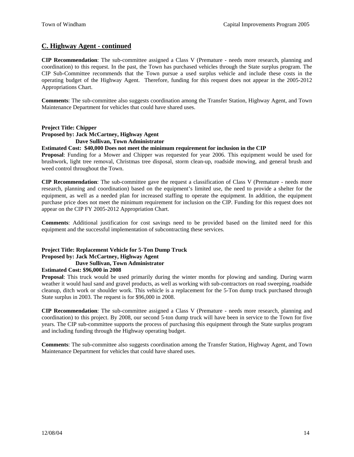## **C. Highway Agent - continued**

**CIP Recommendation**: The sub-committee assigned a Class V (Premature - needs more research, planning and coordination) to this request. In the past, the Town has purchased vehicles through the State surplus program. The CIP Sub-Committee recommends that the Town pursue a used surplus vehicle and include these costs in the operating budget of the Highway Agent. Therefore, funding for this request does not appear in the 2005-2012 Appropriations Chart.

**Comments**: The sub-committee also suggests coordination among the Transfer Station, Highway Agent, and Town Maintenance Department for vehicles that could have shared uses.

## **Project Title: Chipper Proposed by: Jack McCartney, Highway Agent Dave Sullivan, Town Administrator**

#### **Estimated Cost: \$40,000 Does not meet the minimum requirement for inclusion in the CIP**

**Proposal**: Funding for a Mower and Chipper was requested for year 2006. This equipment would be used for brushwork, light tree removal, Christmas tree disposal, storm clean-up, roadside mowing, and general brush and weed control throughout the Town.

**CIP Recommendation**: The sub-committee gave the request a classification of Class V (Premature - needs more research, planning and coordination) based on the equipment's limited use, the need to provide a shelter for the equipment, as well as a needed plan for increased staffing to operate the equipment. In addition, the equipment purchase price does not meet the minimum requirement for inclusion on the CIP. Funding for this request does not appear on the CIP FY 2005-2012 Appropriation Chart.

**Comments**: Additional justification for cost savings need to be provided based on the limited need for this equipment and the successful implementation of subcontracting these services.

#### **Project Title: Replacement Vehicle for 5-Ton Dump Truck Proposed by: Jack McCartney, Highway Agent Dave Sullivan, Town Administrator**

#### **Estimated Cost: \$96,000 in 2008**

**Proposal**: This truck would be used primarily during the winter months for plowing and sanding. During warm weather it would haul sand and gravel products, as well as working with sub-contractors on road sweeping, roadside cleanup, ditch work or shoulder work. This vehicle is a replacement for the 5-Ton dump truck purchased through State surplus in 2003. The request is for \$96,000 in 2008.

**CIP Recommendation**: The sub-committee assigned a Class V (Premature - needs more research, planning and coordination) to this project. By 2008, our second 5-ton dump truck will have been in service to the Town for five years. The CIP sub-committee supports the process of purchasing this equipment through the State surplus program and including funding through the Highway operating budget.

**Comments**: The sub-committee also suggests coordination among the Transfer Station, Highway Agent, and Town Maintenance Department for vehicles that could have shared uses.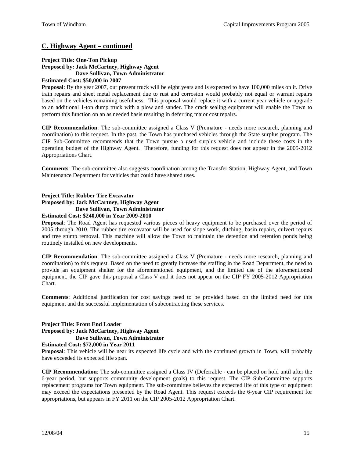## **C. Highway Agent – continued**

#### **Project Title: One-Ton Pickup Proposed by: Jack McCartney, Highway Agent Dave Sullivan, Town Administrator Estimated Cost: \$50,000 in 2007**

**Proposal**: By the year 2007, our present truck will be eight years and is expected to have 100,000 miles on it. Drive train repairs and sheet metal replacement due to rust and corrosion would probably not equal or warrant repairs based on the vehicles remaining usefulness. This proposal would replace it with a current year vehicle or upgrade to an additional 1-ton dump truck with a plow and sander. The crack sealing equipment will enable the Town to perform this function on an as needed basis resulting in deferring major cost repairs.

**CIP Recommendation**: The sub-committee assigned a Class V (Premature - needs more research, planning and coordination) to this request. In the past, the Town has purchased vehicles through the State surplus program. The CIP Sub-Committee recommends that the Town pursue a used surplus vehicle and include these costs in the operating budget of the Highway Agent. Therefore, funding for this request does not appear in the 2005-2012 Appropriations Chart.

**Comments**: The sub-committee also suggests coordination among the Transfer Station, Highway Agent, and Town Maintenance Department for vehicles that could have shared uses.

## **Project Title: Rubber Tire Excavator Proposed by: Jack McCartney, Highway Agent Dave Sullivan, Town Administrator Estimated Cost: \$240,000 in Year 2009-2010**

**Proposal**: The Road Agent has requested various pieces of heavy equipment to be purchased over the period of 2005 through 2010. The rubber tire excavator will be used for slope work, ditching, basin repairs, culvert repairs and tree stump removal. This machine will allow the Town to maintain the detention and retention ponds being routinely installed on new developments.

**CIP Recommendation**: The sub-committee assigned a Class V (Premature - needs more research, planning and coordination) to this request. Based on the need to greatly increase the staffing in the Road Department, the need to provide an equipment shelter for the aforementioned equipment, and the limited use of the aforementioned equipment, the CIP gave this proposal a Class V and it does not appear on the CIP FY 2005-2012 Appropriation Chart.

**Comments**: Additional justification for cost savings need to be provided based on the limited need for this equipment and the successful implementation of subcontracting these services.

## **Project Title: Front End Loader Proposed by: Jack McCartney, Highway Agent Dave Sullivan, Town Administrator**

## **Estimated Cost: \$72,000 in Year 2011**

**Proposal**: This vehicle will be near its expected life cycle and with the continued growth in Town, will probably have exceeded its expected life span.

**CIP Recommendation**: The sub-committee assigned a Class IV (Deferrable - can be placed on hold until after the 6-year period, but supports community development goals) to this request. The CIP Sub-Committee supports replacement programs for Town equipment. The sub-committee believes the expected life of this type of equipment may exceed the expectations presented by the Road Agent. This request exceeds the 6-year CIP requirement for appropriations, but appears in FY 2011 on the CIP 2005-2012 Appropriation Chart.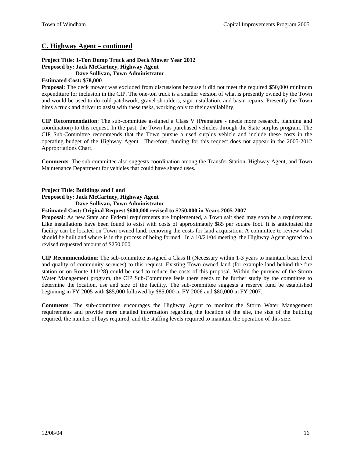## **C. Highway Agent – continued**

#### **Project Title: 1-Ton Dump Truck and Deck Mower Year 2012 Proposed by: Jack McCartney, Highway Agent Dave Sullivan, Town Administrator**

#### **Estimated Cost: \$78,000**

**Proposal:** The deck mower was excluded from discussions because it did not meet the required \$50,000 minimum expenditure for inclusion in the CIP. The one-ton truck is a smaller version of what is presently owned by the Town and would be used to do cold patchwork, gravel shoulders, sign installation, and basin repairs. Presently the Town hires a truck and driver to assist with these tasks, working only to their availability.

**CIP Recommendation**: The sub-committee assigned a Class V (Premature - needs more research, planning and coordination) to this request. In the past, the Town has purchased vehicles through the State surplus program. The CIP Sub-Committee recommends that the Town pursue a used surplus vehicle and include these costs in the operating budget of the Highway Agent. Therefore, funding for this request does not appear in the 2005-2012 Appropriations Chart.

**Comments**: The sub-committee also suggests coordination among the Transfer Station, Highway Agent, and Town Maintenance Department for vehicles that could have shared uses.

**Project Title: Buildings and Land** 

**Proposed by: Jack McCartney, Highway Agent Dave Sullivan, Town Administrator** 

#### **Estimated Cost: Original Request \$600,000 revised to \$250,000 in Years 2005-2007**

**Proposal**: As new State and Federal requirements are implemented, a Town salt shed may soon be a requirement. Like installations have been found to exist with costs of approximately \$85 per square foot. It is anticipated the facility can be located on Town owned land, removing the costs for land acquisition. A committee to review what should be built and where is in the process of being formed. In a 10/21/04 meeting, the Highway Agent agreed to a revised requested amount of \$250,000.

**CIP Recommendation**: The sub-committee assigned a Class II (Necessary within 1-3 years to maintain basic level and quality of community services) to this request. Existing Town owned land (for example land behind the fire station or on Route 111/28) could be used to reduce the costs of this proposal. Within the purview of the Storm Water Management program, the CIP Sub-Committee feels there needs to be further study by the committee to determine the location, use and size of the facility. The sub-committee suggests a reserve fund be established beginning in FY 2005 with \$85,000 followed by \$85,000 in FY 2006 and \$80,000 in FY 2007.

**Comments**: The sub-committee encourages the Highway Agent to monitor the Storm Water Management requirements and provide more detailed information regarding the location of the site, the size of the building required, the number of bays required, and the staffing levels required to maintain the operation of this size.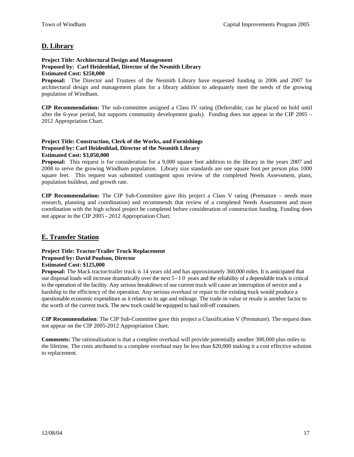## **D. Library**

#### **Project Title: Architectural Design and Management Proposed by: Carl Heidenblad, Director of the Nesmith Library Estimated Cost: \$250,000**

**Proposal:** The Director and Trustees of the Nesmith Library have requested funding in 2006 and 2007 for architectural design and management plans for a library addition to adequately meet the needs of the growing population of Windham.

**CIP Recommendation:** The sub-committee assigned a Class IV rating (Deferrable, can be placed on hold until after the 6-year period, but supports community development goals). Funding does not appear in the CIP 2005 – 2012 Appropriation Chart.

## **Project Title: Construction, Clerk of the Works, and Furnishings Proposed by: Carl Heidenblad, Director of the Nesmith Library Estimated Cost: \$3,050,000**

**Proposal:** This request is for consideration for a 9,000 square foot addition to the library in the years 2007 and 2008 to serve the growing Windham population. Library size standards are one square foot per person plus 1000 square feet. This request was submitted contingent upon review of the completed Needs Assessment, plans, population buildout, and growth rate.

**CIP Recommendation:** The CIP Sub-Committee gave this project a Class V rating (Premature – needs more research, planning and coordination) and recommends that review of a completed Needs Assessment and more coordination with the high school project be completed before consideration of construction funding. Funding does not appear in the CIP 2005 - 2012 Appropriation Chart.

## **E. Transfer Station**

## **Project Title: Tractor/Trailer Truck Replacement Proposed by: David Poulson, Director Estimated Cost: \$125,000**

**Proposal:** The Mack tractor/trailer truck is 14 years old and has approximately 360,000 miles. It is anticipated that our disposal loads will increase dramatically over the next 5 - 1 0 years and the reliability of a dependable truck is critical to the operation of the facility. Any serious breakdown of our current truck will cause an interruption of service and a hardship to the efficiency of the operation. Any serious overhaul or repair to the existing truck would produce a questionable economic expenditure as it relates to its age and mileage. The trade-in value or resale is another factor to the worth of the current truck. The new truck could be equipped to haul roll-off containers.

**CIP Recommendation**: The CIP Sub-Committee gave this project a Classification V (Premature). The request does not appear on the CIP 2005-2012 Appropriation Chart.

**Comments:** The rationalization is that a complete overhaul will provide potentially another 300,000 plus miles to the lifetime. The costs attributed to a complete overhaul may be less than \$20,000 making it a cost effective solution to replacement.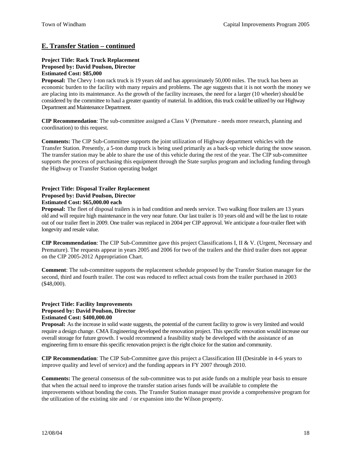## **E. Transfer Station – continued**

## **Project Title: Rack Truck Replacement Proposed by: David Poulson, Director Estimated Cost: \$85,000**

**Proposal:** The Chevy 1-ton rack truck is 19 years old and has approximately 50,000 miles. The truck has been an economic burden to the facility with many repairs and problems. The age suggests that it is not worth the money we are placing into its maintenance. As the growth of the facility increases, the need for a larger (10 wheeler) should be considered by the committee to haul a greater quantity of material. In addition, thistruck could be utilized by our Highway Department and Maintenance Department.

**CIP Recommendation**: The sub-committee assigned a Class V (Premature - needs more research, planning and coordination) to this request.

**Comments:** The CIP Sub-Committee supports the joint utilization of Highway department vehicles with the Transfer Station. Presently, a 5-ton dump truck is being used primarily as a back-up vehicle during the snow season. The transfer station may be able to share the use of this vehicle during the rest of the year. The CIP sub-committee supports the process of purchasing this equipment through the State surplus program and including funding through the Highway or Transfer Station operating budget

### **Project Title: Disposal Trailer Replacement Proposed by: David Poulson, Director Estimated Cost: \$65,000.00 each**

**Proposal:** The fleet of disposal trailers is in bad condition and needs service. Two walking floor trailers are 13 years old and will require high maintenance in the very near future. Our last trailer is 10 years old and will be the last to rotate out of our trailer fleet in 2009. One trailer was replaced in 2004 per CIP approval. We anticipate a four-trailer fleet with longevity and resale value.

**CIP Recommendation**: The CIP Sub-Committee gave this project Classifications I, II & V. (Urgent, Necessary and Premature). The requests appear in years 2005 and 2006 for two of the trailers and the third trailer does not appear on the CIP 2005-2012 Appropriation Chart.

**Comment**: The sub-committee supports the replacement schedule proposed by the Transfer Station manager for the second, third and fourth trailer. The cost was reduced to reflect actual costs from the trailer purchased in 2003 (\$48,000).

#### **Project Title: Facility Improvements Proposed by: David Poulson, Director Estimated Cost: \$400,000.00**

**Proposal:** As the increase in solid waste suggests, the potential of the current facility to grow is very limited and would require a design change. CMA Engineering developed the renovation project. This specific renovation would increase our overall storage for future growth. I would recommend a feasibility study be developed with the assistance of an engineering firm to ensure this specific renovation project is the right choice for the station and community.

**CIP Recommendation**: The CIP Sub-Committee gave this project a Classification III (Desirable in 4-6 years to improve quality and level of service) and the funding appears in FY 2007 through 2010.

**Comments:** The general consensus of the sub-committee was to put aside funds on a multiple year basis to ensure that when the actual need to improve the transfer station arises funds will be available to complete the improvements without bonding the costs. The Transfer Station manager must provide a comprehensive program for the utilization of the existing site and / or expansion into the Wilson property.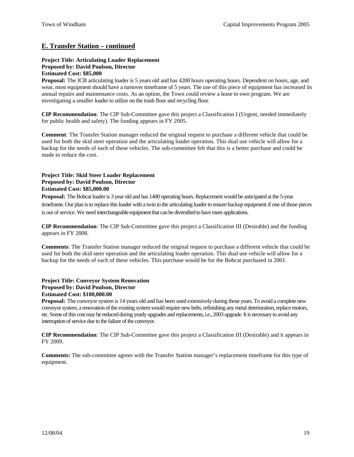## **E. Transfer Station – continued**

## **Project Title: Articulating Loader Replacement Proposed by: David Poulson, Director Estimated Cost: \$85,000**

**Proposal:** The JCB articulating loader is 5 years old and has 4200 hours operating hours. Dependent on hours, age, and wear, most equipment should have a turnover timeframe of 5 years. The use of this piece of equipment has increased its annual repairs and maintenance costs. As an option, the Town could review a lease to own program. We are investigating a smaller loader to utilize on the trash floor and recycling floor.

**CIP Recommendation**: The CIP Sub-Committee gave this project a Classification I (Urgent, needed immediately for public health and safety). The funding appears in FY 2005.

**Comment**: The Transfer Station manager reduced the original request to purchase a different vehicle that could be used for both the skid steer operation and the articulating loader operation. This dual use vehicle will allow for a backup for the needs of each of these vehicles. The sub-committee felt that this is a better purchase and could be made to reduce the cost.

## **Project Title: Skid Steer Loader Replacement Proposed by: David Poulson, Director Estimated Cost: \$85,000.00**

**Proposal:** The Bobcat loader is 3 year old and has 1400 operating hours. Replacement would be anticipated at the 5-year timeframe. Our plan is to replace this loader with a twin to the articulating loader to ensure backup equipment if one of those pieces is out of service. We need interchangeable equipment that can be diversified to have more applications.

**CIP Recommendation**: The CIP Sub-Committee gave this project a Classification III (Desirable) and the funding appears in FY 2008.

**Comments**: The Transfer Station manager reduced the original request to purchase a different vehicle that could be used for both the skid steer operation and the articulating loader operation. This dual use vehicle will allow for a backup for the needs of each of these vehicles. This purchase would be for the Bobcat purchased in 2001.

#### **Project Title: Conveyor System Renovation Proposed by: David Poulson, Director Estimated Cost: \$100,000.00**

**Proposal:** The conveyor system is 14 years old and has been used extensively during those years. To avoid a complete new conveyor system, a renovation of the existing system would require new belts, refinishing any metal deterioration, replace motors, etc. Some ofthis cost may be reduced during yearly upgrades and replacements, i.e., 2003 upgrade. It is necessary to avoid any interruption of service due to the failure of the conveyor.

**CIP Recommendation**: The CIP Sub-Committee gave this project a Classification III (Desirable) and it appears in FY 2009.

**Comments:** The sub-committee agrees with the Transfer Station manager's replacement timeframe for this type of equipment.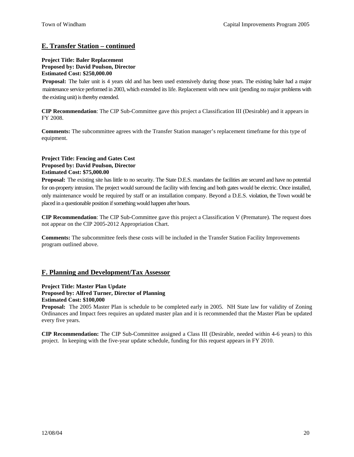## **E. Transfer Station – continued**

## **Project Title: Baler Replacement Proposed by: David Poulson, Director Estimated Cost: \$250,000.00**

**Proposal:** The baler unit is 4 years old and has been used extensively during those years. The existing baler had a major maintenance service performed in 2003, which extended its life. Replacement with new unit (pending no major problems with the existing unit) is thereby extended.

**CIP Recommendation**: The CIP Sub-Committee gave this project a Classification III (Desirable) and it appears in FY 2008.

**Comments:** The subcommittee agrees with the Transfer Station manager's replacement timeframe for this type of equipment.

## **Project Title: Fencing and Gates Cost Proposed by: David Poulson, Director Estimated Cost: \$75,000.00**

**Proposal:** The existing site has little to no security. The State D.E.S. mandates the facilities are secured and have no potential for on-property intrusion. The project would surround the facility with fencing and both gates would be electric. Once installed, only maintenance would be required by staff or an installation company. Beyond a D.E.S. violation, the Town would be placed in a questionable position if something would happen after hours.

**CIP Recommendation**: The CIP Sub-Committee gave this project a Classification V (Premature). The request does not appear on the CIP 2005-2012 Appropriation Chart.

**Comments:** The subcommittee feels these costs will be included in the Transfer Station Facility Improvements program outlined above.

## **F. Planning and Development/Tax Assessor**

## **Project Title: Master Plan Update Proposed by: Alfred Turner, Director of Planning Estimated Cost: \$100,000**

**Proposal:** The 2005 Master Plan is schedule to be completed early in 2005. NH State law for validity of Zoning Ordinances and Impact fees requires an updated master plan and it is recommended that the Master Plan be updated every five years.

**CIP Recommendation:** The CIP Sub-Committee assigned a Class III (Desirable, needed within 4-6 years) to this project. In keeping with the five-year update schedule, funding for this request appears in FY 2010.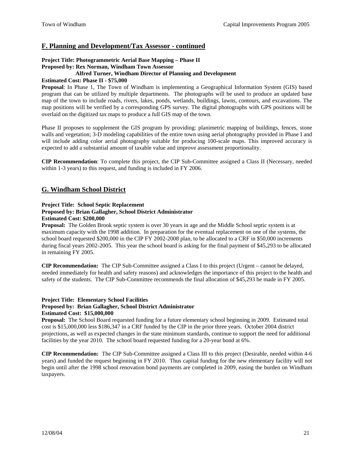## **F. Planning and Development/Tax Assessor - continued**

## **Project Title: Photogrammetric Aerial Base Mapping – Phase II Proposed by: Rex Norman, Windham Town Assessor**

## **Alfred Turner, Windham Director of Planning and Development**

## **Estimated Cost: Phase II - \$75,000**

**Proposal**: In Phase 1, The Town of Windham is implementing a Geographical Information System (GIS) based program that can be utilized by multiple departments. The photographs will be used to produce an updated base map of the town to include roads, rivers, lakes, ponds, wetlands, buildings, lawns, contours, and excavations. The map positions will be verified by a corresponding GPS survey. The digital photographs with GPS positions will be overlaid on the digitized tax maps to produce a full GIS map of the town.

Phase II proposes to supplement the GIS program by providing: planimetric mapping of buildings, fences, stone walls and vegetation; 3-D modeling capabilities of the entire town using aerial photography provided in Phase I and will include adding color aerial photography suitable for producing 100-scale maps. This improved accuracy is expected to add a substantial amount of taxable value and improve assessment proportionality.

**CIP Recommendation**: To complete this project, the CIP Sub-Committee assigned a Class II (Necessary, needed within 1-3 years) to this request, and funding is included in FY 2006.

## **G. Windham School District**

#### **Project Title: School Septic Replacement**

#### **Proposed by: Brian Gallagher, School District Administrator Estimated Cost: \$200,000**

**Proposal:** The Golden Brook septic system is over 30 years in age and the Middle School septic system is at maximum capacity with the 1998 addition. In preparation for the eventual replacement on one of the systems, the school board requested \$200,000 in the CIP FY 2002-2008 plan, to be allocated to a CRF in \$50,000 increments during fiscal years 2002-2005. This year the school board is asking for the final payment of \$45,293 to be allocated in remaining FY 2005.

**CIP Recommendation:** The CIP Sub-Committee assigned a Class I to this project (Urgent – cannot be delayed, needed immediately for health and safety reasons) and acknowledges the importance of this project to the health and safety of the students. The CIP Sub-Committee recommends the final allocation of \$45,293 be made in FY 2005.

#### **Project Title: Elementary School Facilities Proposed by: Brian Gallagher, School District Administrator Estimated Cost: \$15,000,000**

**Proposal:** The School Board requested funding for a future elementary school beginning in 2009. Estimated total cost is \$15,000,000 less \$186,347 in a CRF funded by the CIP in the prior three years. October 2004 district projections, as well as expected changes in the state minimum standards, continue to support the need for additional facilities by the year 2010. The school board requested funding for a 20-year bond at 6%.

**CIP Recommendation:** The CIP Sub-Committee assigned a Class III to this project (Desirable, needed within 4-6 years) and funded the request beginning in FY 2010. Thus capital funding for the new elementary facility will not begin until after the 1998 school renovation bond payments are completed in 2009, easing the burden on Windham taxpayers.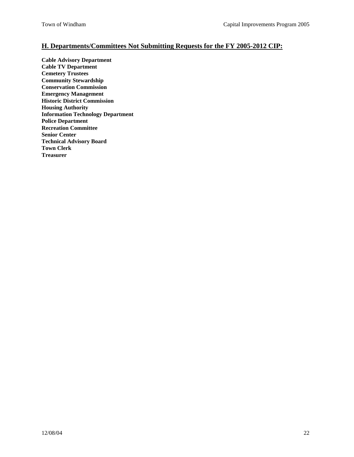## **H. Departments/Committees Not Submitting Requests for the FY 2005-2012 CIP:**

**Cable Advisory Department Cable TV Department Cemetery Trustees Community Stewardship Conservation Commission Emergency Management Historic District Commission Housing Authority Information Technology Department Police Department Recreation Committee Senior Center Technical Advisory Board Town Clerk Treasurer**